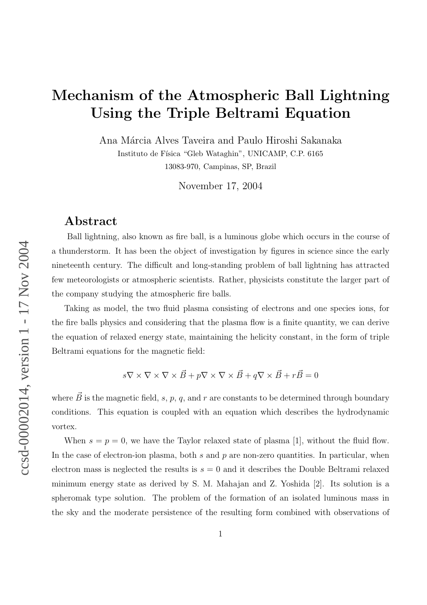# Mechanism of the Atmospheric Ball Lightning Using the Triple Beltrami Equation

Ana Márcia Alves Taveira and Paulo Hiroshi Sakanaka Instituto de Física "Gleb Wataghin", UNICAMP, C.P. 6165

13083-970, Campinas, SP, Brazil

November 17, 2004

### Abstract

Ball lightning, also known as fire ball, is a luminous globe which occurs in the course of a thunderstorm. It has been the object of investigation by figures in science since the early nineteenth century. The difficult and long-standing problem of ball lightning has attracted few meteorologists or atmospheric scientists. Rather, physicists constitute the larger part of the company studying the atmospheric fire balls.

Taking as model, the two fluid plasma consisting of electrons and one species ions, for the fire balls physics and considering that the plasma flow is a finite quantity, we can derive the equation of relaxed energy state, maintaining the helicity constant, in the form of triple Beltrami equations for the magnetic field:

$$
s\nabla \times \nabla \times \nabla \times \vec{B} + p\nabla \times \nabla \times \vec{B} + q\nabla \times \vec{B} + r\vec{B} = 0
$$

where  $\vec{B}$  is the magnetic field, s, p, q, and r are constants to be determined through boundary conditions. This equation is coupled with an equation which describes the hydrodynamic vortex.

When  $s = p = 0$ , we have the Taylor relaxed state of plasma [1], without the fluid flow. In the case of electron-ion plasma, both s and p are non-zero quantities. In particular, when electron mass is neglected the results is  $s = 0$  and it describes the Double Beltrami relaxed minimum energy state as derived by S. M. Mahajan and Z. Yoshida [2]. Its solution is a spheromak type solution. The problem of the formation of an isolated luminous mass in the sky and the moderate persistence of the resulting form combined with observations of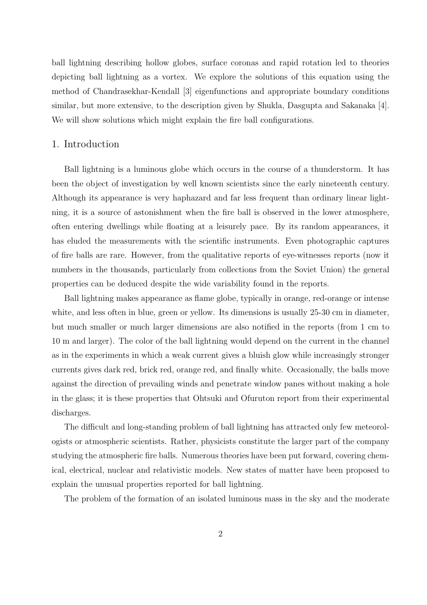ball lightning describing hollow globes, surface coronas and rapid rotation led to theories depicting ball lightning as a vortex. We explore the solutions of this equation using the method of Chandrasekhar-Kendall [3] eigenfunctions and appropriate boundary conditions similar, but more extensive, to the description given by Shukla, Dasgupta and Sakanaka [4]. We will show solutions which might explain the fire ball configurations.

#### 1. Introduction

Ball lightning is a luminous globe which occurs in the course of a thunderstorm. It has been the object of investigation by well known scientists since the early nineteenth century. Although its appearance is very haphazard and far less frequent than ordinary linear lightning, it is a source of astonishment when the fire ball is observed in the lower atmosphere, often entering dwellings while floating at a leisurely pace. By its random appearances, it has eluded the measurements with the scientific instruments. Even photographic captures of fire balls are rare. However, from the qualitative reports of eye-witnesses reports (now it numbers in the thousands, particularly from collections from the Soviet Union) the general properties can be deduced despite the wide variability found in the reports.

Ball lightning makes appearance as flame globe, typically in orange, red-orange or intense white, and less often in blue, green or yellow. Its dimensions is usually 25-30 cm in diameter, but much smaller or much larger dimensions are also notified in the reports (from 1 cm to 10 m and larger). The color of the ball lightning would depend on the current in the channel as in the experiments in which a weak current gives a bluish glow while increasingly stronger currents gives dark red, brick red, orange red, and finally white. Occasionally, the balls move against the direction of prevailing winds and penetrate window panes without making a hole in the glass; it is these properties that Ohtsuki and Ofuruton report from their experimental discharges.

The difficult and long-standing problem of ball lightning has attracted only few meteorologists or atmospheric scientists. Rather, physicists constitute the larger part of the company studying the atmospheric fire balls. Numerous theories have been put forward, covering chemical, electrical, nuclear and relativistic models. New states of matter have been proposed to explain the unusual properties reported for ball lightning.

The problem of the formation of an isolated luminous mass in the sky and the moderate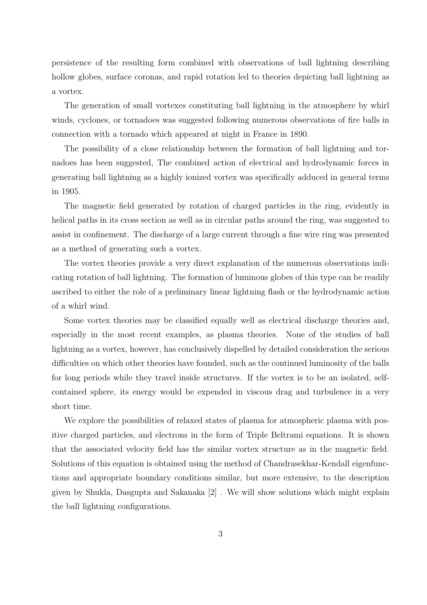persistence of the resulting form combined with observations of ball lightning describing hollow globes, surface coronas, and rapid rotation led to theories depicting ball lightning as a vortex.

The generation of small vortexes constituting ball lightning in the atmosphere by whirl winds, cyclones, or tornadoes was suggested following numerous observations of fire balls in connection with a tornado which appeared at night in France in 1890.

The possibility of a close relationship between the formation of ball lightning and tornadoes has been suggested, The combined action of electrical and hydrodynamic forces in generating ball lightning as a highly ionized vortex was specifically adduced in general terms in 1905.

The magnetic field generated by rotation of charged particles in the ring, evidently in helical paths in its cross section as well as in circular paths around the ring, was suggested to assist in confinement. The discharge of a large current through a fine wire ring was presented as a method of generating such a vortex.

The vortex theories provide a very direct explanation of the numerous observations indicating rotation of ball lightning. The formation of luminous globes of this type can be readily ascribed to either the role of a preliminary linear lightning flash or the hydrodynamic action of a whirl wind.

Some vortex theories may be classified equally well as electrical discharge theories and, especially in the most recent examples, as plasma theories. None of the studies of ball lightning as a vortex, however, has conclusively dispelled by detailed consideration the serious difficulties on which other theories have founded, such as the continued luminosity of the balls for long periods while they travel inside structures. If the vortex is to be an isolated, selfcontained sphere, its energy would be expended in viscous drag and turbulence in a very short time.

We explore the possibilities of relaxed states of plasma for atmospheric plasma with positive charged particles, and electrons in the form of Triple Beltrami equations. It is shown that the associated velocity field has the similar vortex structure as in the magnetic field. Solutions of this equation is obtained using the method of Chandrasekhar-Kendall eigenfunctions and appropriate boundary conditions similar, but more extensive, to the description given by Shukla, Dasgupta and Sakanaka [2] . We will show solutions which might explain the ball lightning configurations.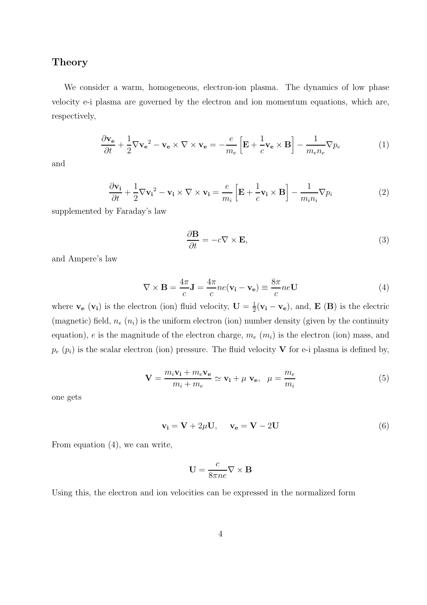#### Theory

We consider a warm, homogeneous, electron-ion plasma. The dynamics of low phase velocity e-i plasma are governed by the electron and ion momentum equations, which are, respectively,

$$
\frac{\partial \mathbf{v_e}}{\partial t} + \frac{1}{2} \nabla \mathbf{v_e}^2 - \mathbf{v_e} \times \nabla \times \mathbf{v_e} = -\frac{e}{m_e} \left[ \mathbf{E} + \frac{1}{c} \mathbf{v_e} \times \mathbf{B} \right] - \frac{1}{m_e n_e} \nabla p_e \tag{1}
$$

and

$$
\frac{\partial \mathbf{v_i}}{\partial t} + \frac{1}{2} \nabla \mathbf{v_i}^2 - \mathbf{v_i} \times \nabla \times \mathbf{v_i} = \frac{e}{m_i} \left[ \mathbf{E} + \frac{1}{c} \mathbf{v_i} \times \mathbf{B} \right] - \frac{1}{m_i n_i} \nabla p_i \tag{2}
$$

supplemented by Faraday's law

$$
\frac{\partial \mathbf{B}}{\partial t} = -c \nabla \times \mathbf{E},\tag{3}
$$

and Ampere's law

$$
\nabla \times \mathbf{B} = \frac{4\pi}{c} \mathbf{J} = \frac{4\pi}{c} n e (\mathbf{v_i} - \mathbf{v_e}) \equiv \frac{8\pi}{c} n e \mathbf{U}
$$
(4)

where  $\mathbf{v}_{e}$  ( $\mathbf{v}_{i}$ ) is the electron (ion) fluid velocity,  $\mathbf{U} = \frac{1}{2}$  $\frac{1}{2}(\mathbf{v_i}-\mathbf{v_e})$ , and, **E** (**B**) is the electric (magnetic) field,  $n_e$  ( $n_i$ ) is the uniform electron (ion) number density (given by the continuity equation), e is the magnitude of the electron charge,  $m_e$  ( $m_i$ ) is the electron (ion) mass, and  $p_e$  ( $p_i$ ) is the scalar electron (ion) pressure. The fluid velocity **V** for e-i plasma is defined by,

$$
\mathbf{V} = \frac{m_i \mathbf{v_i} + m_e \mathbf{v_e}}{m_i + m_e} \simeq \mathbf{v_i} + \mu \mathbf{v_e}, \quad \mu = \frac{m_e}{m_i}
$$
(5)

one gets

$$
\mathbf{v_i} = \mathbf{V} + 2\mu \mathbf{U}, \quad \mathbf{v_e} = \mathbf{V} - 2\mathbf{U}
$$
 (6)

From equation (4), we can write,

$$
\mathbf{U} = \frac{c}{8\pi n e} \nabla \times \mathbf{B}
$$

Using this, the electron and ion velocities can be expressed in the normalized form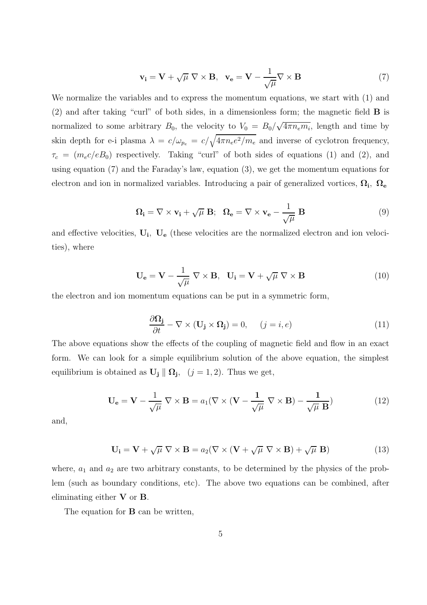$$
\mathbf{v}_{i} = \mathbf{V} + \sqrt{\mu} \nabla \times \mathbf{B}, \quad \mathbf{v}_{e} = \mathbf{V} - \frac{1}{\sqrt{\mu}} \nabla \times \mathbf{B}
$$
 (7)

We normalize the variables and to express the momentum equations, we start with (1) and (2) and after taking "curl" of both sides, in a dimensionless form; the magnetic field B is normalized to some arbitrary  $B_0$ , the velocity to  $V_0 = B_0/\sqrt{4\pi n_e m_i}$ , length and time by skin depth for e-i plasma  $\lambda = c/\omega_{p_e} = c/\sqrt{4\pi n_e e^2/m_e}$  and inverse of cyclotron frequency,  $\tau_c = (m_e c/eB_0)$  respectively. Taking "curl" of both sides of equations (1) and (2), and using equation (7) and the Faraday's law, equation (3), we get the momentum equations for electron and ion in normalized variables. Introducing a pair of generalized vortices,  $\Omega_i$ ,  $\Omega_e$ 

$$
\Omega_{\mathbf{i}} = \nabla \times \mathbf{v}_{\mathbf{i}} + \sqrt{\mu} \mathbf{B}; \quad \Omega_{\mathbf{e}} = \nabla \times \mathbf{v}_{\mathbf{e}} - \frac{1}{\sqrt{\mu}} \mathbf{B}
$$
\n(9)

and effective velocities,  $U_i$ ,  $U_e$  (these velocities are the normalized electron and ion velocities), where

$$
\mathbf{U}_{\mathbf{e}} = \mathbf{V} - \frac{1}{\sqrt{\mu}} \nabla \times \mathbf{B}, \quad \mathbf{U}_{\mathbf{i}} = \mathbf{V} + \sqrt{\mu} \nabla \times \mathbf{B}
$$
 (10)

the electron and ion momentum equations can be put in a symmetric form,

$$
\frac{\partial \Omega_{j}}{\partial t} - \nabla \times (\mathbf{U}_{j} \times \Omega_{j}) = 0, \quad (j = i, e)
$$
\n(11)

The above equations show the effects of the coupling of magnetic field and flow in an exact form. We can look for a simple equilibrium solution of the above equation, the simplest equilibrium is obtained as  $\mathbf{U_j} \parallel \mathbf{\Omega_j}$ ,  $(j = 1, 2)$ . Thus we get,

$$
\mathbf{U}_{\mathbf{e}} = \mathbf{V} - \frac{1}{\sqrt{\mu}} \nabla \times \mathbf{B} = a_1 (\nabla \times (\mathbf{V} - \frac{1}{\sqrt{\mu}} \nabla \times \mathbf{B}) - \frac{1}{\sqrt{\mu} \mathbf{B}})
$$
(12)

and,

$$
\mathbf{U_i} = \mathbf{V} + \sqrt{\mu} \nabla \times \mathbf{B} = a_2 (\nabla \times (\mathbf{V} + \sqrt{\mu} \nabla \times \mathbf{B}) + \sqrt{\mu} \mathbf{B})
$$
(13)

where,  $a_1$  and  $a_2$  are two arbitrary constants, to be determined by the physics of the problem (such as boundary conditions, etc). The above two equations can be combined, after eliminating either V or B.

The equation for **B** can be written,